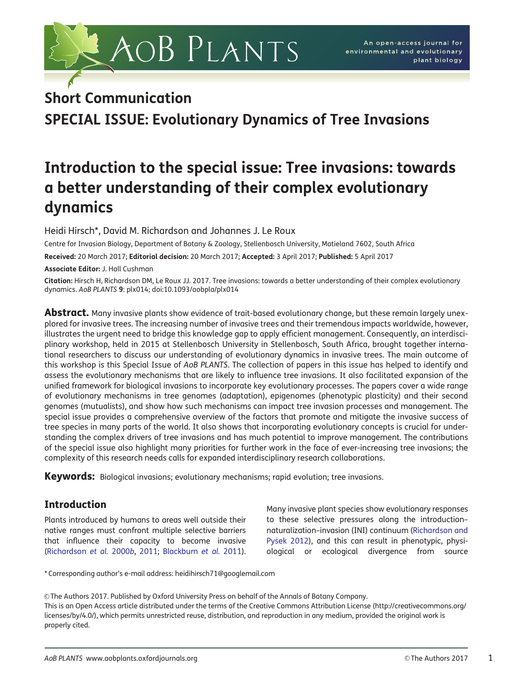

## Short Communication

SPECIAL ISSUE: Evolutionary Dynamics of Tree Invasions

# Introduction to the special issue: Tree invasions: towards a better understanding of their complex evolutionary dynamics

Heidi Hirsch\*, David M. Richardson and Johannes J. Le Roux

Centre for Invasion Biology, Department of Botany & Zoology, Stellenbosch University, Matieland 7602, South Africa

Received: 20 March 2017; Editorial decision: 20 March 2017; Accepted: 3 April 2017; Published: 5 April 2017 Associate Editor: J. Hall Cushman

Citation: Hirsch H, Richardson DM, Le Roux JJ. 2017. Tree invasions: towards a better understanding of their complex evolutionary dynamics. AoB PLANTS 9: plx014; doi:10.1093/aobpla/plx014

**Abstract.** Many invasive plants show evidence of trait-based evolutionary change, but these remain largely unexplored for invasive trees. The increasing number of invasive trees and their tremendous impacts worldwide, however, illustrates the urgent need to bridge this knowledge gap to apply efficient management. Consequently, an interdisciplinary workshop, held in 2015 at Stellenbosch University in Stellenbosch, South Africa, brought together international researchers to discuss our understanding of evolutionary dynamics in invasive trees. The main outcome of this workshop is this Special Issue of AoB PLANTS. The collection of papers in this issue has helped to identify and assess the evolutionary mechanisms that are likely to influence tree invasions. It also facilitated expansion of the unified framework for biological invasions to incorporate key evolutionary processes. The papers cover a wide range of evolutionary mechanisms in tree genomes (adaptation), epigenomes (phenotypic plasticity) and their second genomes (mutualists), and show how such mechanisms can impact tree invasion processes and management. The special issue provides a comprehensive overview of the factors that promote and mitigate the invasive success of tree species in many parts of the world. It also shows that incorporating evolutionary concepts is crucial for understanding the complex drivers of tree invasions and has much potential to improve management. The contributions of the special issue also highlight many priorities for further work in the face of ever-increasing tree invasions; the complexity of this research needs calls for expanded interdisciplinary research collaborations.

**Keywords:** Biological invasions; evolutionary mechanisms; rapid evolution; tree invasions.

## Introduction

Plants introduced by humans to areas well outside their native ranges must confront multiple selective barriers that influence their capacity to become invasive ([Richardson](#page-7-0) et al. 2000b, [2011](#page-7-0); [Blackburn](#page-6-0) et al. 2011). Many invasive plant species show evolutionary responses to these selective pressures along the introduction– naturalization–invasion (INI) continuum ([Richardson and](#page-7-0) [Py](#page-7-0)š[ek 2012](#page-7-0)), and this can result in phenotypic, physiological or ecological divergence from source

\* Corresponding author's e-mail address: heidihirsch71@googlemail.com

V<sup>C</sup> The Authors 2017. Published by Oxford University Press on behalf of the Annals of Botany Company. This is an Open Access article distributed under the terms of the Creative Commons Attribution License ([http://creativecommons.org/](http://creativecommons.org/licenses/by/4.0/) [licenses/by/4.0/](http://creativecommons.org/licenses/by/4.0/)), which permits unrestricted reuse, distribution, and reproduction in any medium, provided the original work is properly cited.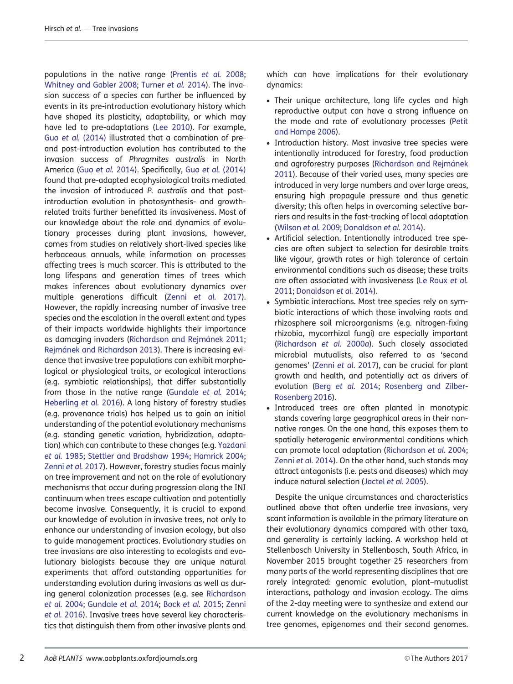populations in the native range [\(Prentis](#page-7-0) et al. 2008; [Whitney and Gabler 2008;](#page-7-0) [Turner](#page-7-0) et al. 2014). The invasion success of a species can further be influenced by events in its pre-introduction evolutionary history which have shaped its plasticity, adaptability, or which may have led to pre-adaptations [\(Lee 2010\)](#page-6-0). For example, Guo et al. [\(2014\)](#page-6-0) illustrated that a combination of preand post-introduction evolution has contributed to the invasion success of Phragmites australis in North America (Guo [et al.](#page-6-0) 2014). Specifically, Guo et al. [\(2014\)](#page-6-0) found that pre-adapted ecophysiological traits mediated the invasion of introduced P. australis and that postintroduction evolution in photosynthesis- and growthrelated traits further benefitted its invasiveness. Most of our knowledge about the role and dynamics of evolutionary processes during plant invasions, however, comes from studies on relatively short-lived species like herbaceous annuals, while information on processes affecting trees is much scarcer. This is attributed to the long lifespans and generation times of trees which makes inferences about evolutionary dynamics over multiple generations difficult (Zenni [et al.](#page-7-0) 2017). However, the rapidly increasing number of invasive tree species and the escalation in the overall extent and types of their impacts worldwide highlights their importance as damaging invaders (Richardson and Rejmánek 2011; [Rejm](#page-7-0)á[nek and Richardson 2013](#page-7-0)). There is increasing evidence that invasive tree populations can exhibit morphological or physiological traits, or ecological interactions (e.g. symbiotic relationships), that differ substantially from those in the native range [\(Gundale](#page-6-0) et al. 2014; [Heberling](#page-6-0) et al. 2016). A long history of forestry studies (e.g. provenance trials) has helped us to gain an initial understanding of the potential evolutionary mechanisms (e.g. standing genetic variation, hybridization, adaptation) which can contribute to these changes (e.g. [Yazdani](#page-7-0) et al. [1985;](#page-7-0) [Stettler and Bradshaw 1994;](#page-7-0) [Hamrick 2004](#page-6-0); [Zenni](#page-7-0) et al. 2017). However, forestry studies focus mainly on tree improvement and not on the role of evolutionary mechanisms that occur during progression along the INI continuum when trees escape cultivation and potentially become invasive. Consequently, it is crucial to expand our knowledge of evolution in invasive trees, not only to enhance our understanding of invasion ecology, but also to guide management practices. Evolutionary studies on tree invasions are also interesting to ecologists and evolutionary biologists because they are unique natural experiments that afford outstanding opportunities for understanding evolution during invasions as well as during general colonization processes (e.g. see [Richardson](#page-7-0) et al. [2004;](#page-7-0) [Gundale](#page-6-0) et al. 2014; Bock [et al.](#page-6-0) 2015; [Zenni](#page-7-0) et al. [2016\)](#page-7-0). Invasive trees have several key characteristics that distinguish them from other invasive plants and

which can have implications for their evolutionary dynamics:

- Their unique architecture, long life cycles and high reproductive output can have a strong influence on the mode and rate of evolutionary processes ([Petit](#page-7-0) [and Hampe 2006\)](#page-7-0).
- Introduction history. Most invasive tree species were intentionally introduced for forestry, food production and agroforestry purposes (Richardson and Rejmánek [2011\)](#page-7-0). Because of their varied uses, many species are introduced in very large numbers and over large areas, ensuring high propagule pressure and thus genetic diversity; this often helps in overcoming selective barriers and results in the fast-tracking of local adaptation ([Wilson](#page-7-0) et al. 2009; [Donaldson](#page-6-0) et al. 2014).
- Artificial selection. Intentionally introduced tree species are often subject to selection for desirable traits like vigour, growth rates or high tolerance of certain environmental conditions such as disease; these traits are often associated with invasiveness [\(Le Roux](#page-6-0) et al. [2011;](#page-6-0) [Donaldson](#page-6-0) et al. 2014).
- Symbiotic interactions. Most tree species rely on symbiotic interactions of which those involving roots and rhizosphere soil microorganisms (e.g. nitrogen-fixing rhizobia, mycorrhizal fungi) are especially important ([Richardson](#page-7-0) et al. 2000a). Such closely associated microbial mutualists, also referred to as 'second genomes' (Zenni et al[. 2017\)](#page-7-0), can be crucial for plant growth and health, and potentially act as drivers of evolution (Berg [et al.](#page-6-0) 2014; [Rosenberg and Zilber-](#page-7-0)[Rosenberg 2016\)](#page-7-0).
- Introduced trees are often planted in monotypic stands covering large geographical areas in their nonnative ranges. On the one hand, this exposes them to spatially heterogenic environmental conditions which can promote local adaptation ([Richardson](#page-7-0) et al. 2004; [Zenni](#page-7-0) et al. 2014). On the other hand, such stands may attract antagonists (i.e. pests and diseases) which may induce natural selection ([Jactel](#page-6-0) et al. 2005).

Despite the unique circumstances and characteristics outlined above that often underlie tree invasions, very scant information is available in the primary literature on their evolutionary dynamics compared with other taxa, and generality is certainly lacking. A workshop held at Stellenbosch University in Stellenbosch, South Africa, in November 2015 brought together 25 researchers from many parts of the world representing disciplines that are rarely integrated: genomic evolution, plant–mutualist interactions, pathology and invasion ecology. The aims of the 2-day meeting were to synthesize and extend our current knowledge on the evolutionary mechanisms in tree genomes, epigenomes and their second genomes.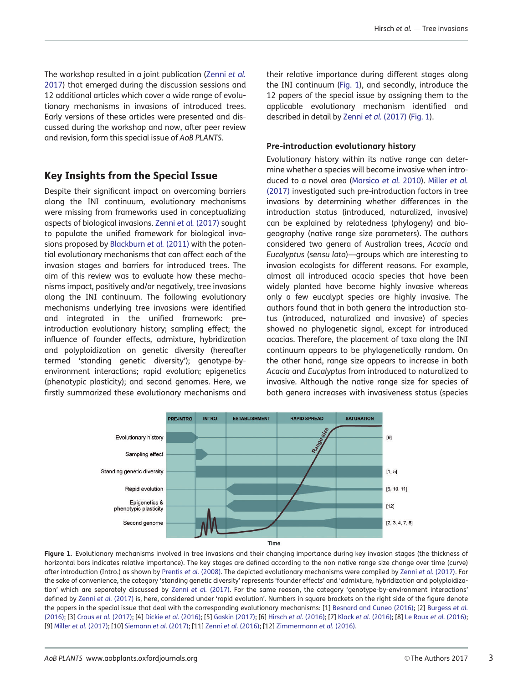<span id="page-2-0"></span>The workshop resulted in a joint publication ([Zenni](#page-7-0) et al. [2017\)](#page-7-0) that emerged during the discussion sessions and 12 additional articles which cover a wide range of evolutionary mechanisms in invasions of introduced trees. Early versions of these articles were presented and discussed during the workshop and now, after peer review and revision, form this special issue of AoB PLANTS.

### Key Insights from the Special Issue

Despite their significant impact on overcoming barriers along the INI continuum, evolutionary mechanisms were missing from frameworks used in conceptualizing aspects of biological invasions. Zenni et al. [\(2017\)](#page-7-0) sought to populate the unified framework for biological invasions proposed by [Blackburn](#page-6-0) et al. (2011) with the potential evolutionary mechanisms that can affect each of the invasion stages and barriers for introduced trees. The aim of this review was to evaluate how these mechanisms impact, positively and/or negatively, tree invasions along the INI continuum. The following evolutionary mechanisms underlying tree invasions were identified and integrated in the unified framework: preintroduction evolutionary history; sampling effect; the influence of founder effects, admixture, hybridization and polyploidization on genetic diversity (hereafter termed 'standing genetic diversity'); genotype-byenvironment interactions; rapid evolution; epigenetics (phenotypic plasticity); and second genomes. Here, we firstly summarized these evolutionary mechanisms and

their relative importance during different stages along the INI continuum (Fig. 1), and secondly, introduce the 12 papers of the special issue by assigning them to the applicable evolutionary mechanism identified and described in detail by Zenni et al. [\(2017\)](#page-7-0) (Fig. 1).

#### Pre-introduction evolutionary history

Evolutionary history within its native range can determine whether a species will become invasive when introduced to a novel area ([Marsico](#page-7-0) et al. 2010). [Miller](#page-7-0) et al. [\(2017\)](#page-7-0) investigated such pre-introduction factors in tree invasions by determining whether differences in the introduction status (introduced, naturalized, invasive) can be explained by relatedness (phylogeny) and biogeography (native range size parameters). The authors considered two genera of Australian trees, Acacia and Eucalyptus (sensu lato)—groups which are interesting to invasion ecologists for different reasons. For example, almost all introduced acacia species that have been widely planted have become highly invasive whereas only a few eucalypt species are highly invasive. The authors found that in both genera the introduction status (introduced, naturalized and invasive) of species showed no phylogenetic signal, except for introduced acacias. Therefore, the placement of taxa along the INI continuum appears to be phylogenetically random. On the other hand, range size appears to increase in both Acacia and Eucalyptus from introduced to naturalized to invasive. Although the native range size for species of both genera increases with invasiveness status (species



Figure 1. Evolutionary mechanisms involved in tree invasions and their changing importance during key invasion stages (the thickness of horizontal bars indicates relative importance). The key stages are defined according to the non-native range size change over time (curve) after introduction (Intro.) as shown by [Prentis](#page-7-0) et al. (2008). The depicted evolutionary mechanisms were compiled by Zenni et al. [\(2017\).](#page-7-0) For the sake of convenience, the category 'standing genetic diversity' represents 'founder effects' and 'admixture, hybridization and polyploidization' which are separately discussed by Zenni et al. [\(2017\).](#page-7-0) For the same reason, the category 'genotype-by-environment interactions' defined by Zenni et al. [\(2017\)](#page-7-0) is, here, considered under 'rapid evolution'. Numbers in square brackets on the right side of the figure denote the papers in the special issue that deal with the corresponding evolutionary mechanisms: [1] [Besnard and Cuneo \(2016\)](#page-6-0); [2] [Burgess](#page-6-0) et al. [\(2016\);](#page-6-0) [3] Crous et al. [\(2017\)](#page-6-0); [4] Dickie et al. [\(2016\)](#page-6-0); [5] [Gaskin \(2017\)](#page-6-0); [6] Hirsch et al. [\(2016\)](#page-6-0); [7] Klock et al. [\(2016\)](#page-6-0); [8] [Le Roux](#page-6-0) et al. (2016); [9] Miller et al. [\(2017\)](#page-7-0); [10] [Siemann](#page-7-0) et al. (2017); [11] Zenni et al. [\(2016\)](#page-7-0); [12] [Zimmermann](#page-7-0) et al. (2016).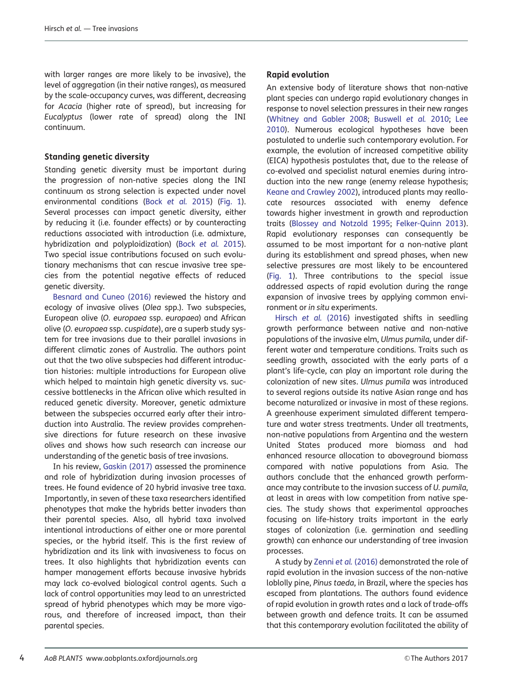with larger ranges are more likely to be invasive), the level of aggregation (in their native ranges), as measured by the scale-occupancy curves, was different, decreasing for Acacia (higher rate of spread), but increasing for Eucalyptus (lower rate of spread) along the INI continuum.

#### Standing genetic diversity

Standing genetic diversity must be important during the progression of non-native species along the INI continuum as strong selection is expected under novel environmental conditions (Bock [et al.](#page-6-0) 2015) ([Fig. 1](#page-2-0)). Several processes can impact genetic diversity, either by reducing it (i.e. founder effects) or by counteracting reductions associated with introduction (i.e. admixture, hybridization and polyploidization) (Bock [et al.](#page-6-0) 2015). Two special issue contributions focused on such evolutionary mechanisms that can rescue invasive tree species from the potential negative effects of reduced genetic diversity.

[Besnard and Cuneo \(2016\)](#page-6-0) reviewed the history and ecology of invasive olives (Olea spp.). Two subspecies, European olive (O. europaea ssp. europaea) and African olive (O. europaea ssp. cuspidate), are a superb study system for tree invasions due to their parallel invasions in different climatic zones of Australia. The authors point out that the two olive subspecies had different introduction histories: multiple introductions for European olive which helped to maintain high genetic diversity vs. successive bottlenecks in the African olive which resulted in reduced genetic diversity. Moreover, genetic admixture between the subspecies occurred early after their introduction into Australia. The review provides comprehensive directions for future research on these invasive olives and shows how such research can increase our understanding of the genetic basis of tree invasions.

In his review, [Gaskin \(2017\)](#page-6-0) assessed the prominence and role of hybridization during invasion processes of trees. He found evidence of 20 hybrid invasive tree taxa. Importantly, in seven of these taxa researchers identified phenotypes that make the hybrids better invaders than their parental species. Also, all hybrid taxa involved intentional introductions of either one or more parental species, or the hybrid itself. This is the first review of hybridization and its link with invasiveness to focus on trees. It also highlights that hybridization events can hamper management efforts because invasive hybrids may lack co-evolved biological control agents. Such a lack of control opportunities may lead to an unrestricted spread of hybrid phenotypes which may be more vigorous, and therefore of increased impact, than their parental species.

#### Rapid evolution

An extensive body of literature shows that non-native plant species can undergo rapid evolutionary changes in response to novel selection pressures in their new ranges ([Whitney and Gabler 2008](#page-7-0); [Buswell](#page-6-0) et al. 2010; [Lee](#page-6-0) [2010\)](#page-6-0). Numerous ecological hypotheses have been postulated to underlie such contemporary evolution. For example, the evolution of increased competitive ability (EICA) hypothesis postulates that, due to the release of co-evolved and specialist natural enemies during introduction into the new range (enemy release hypothesis; [Keane and Crawley 2002\)](#page-6-0), introduced plants may reallocate resources associated with enemy defence towards higher investment in growth and reproduction traits ([Blossey and Notzold 1995](#page-6-0); [Felker-Quinn 2013](#page-6-0)). Rapid evolutionary responses can consequently be assumed to be most important for a non-native plant during its establishment and spread phases, when new selective pressures are most likely to be encountered ([Fig. 1\)](#page-2-0). Three contributions to the special issue addressed aspects of rapid evolution during the range expansion of invasive trees by applying common environment or in situ experiments.

[Hirsch](#page-6-0) et al. (2016) investigated shifts in seedling growth performance between native and non-native populations of the invasive elm, Ulmus pumila, under different water and temperature conditions. Traits such as seedling growth, associated with the early parts of a plant's life-cycle, can play an important role during the colonization of new sites. Ulmus pumila was introduced to several regions outside its native Asian range and has become naturalized or invasive in most of these regions. A greenhouse experiment simulated different temperature and water stress treatments. Under all treatments, non-native populations from Argentina and the western United States produced more biomass and had enhanced resource allocation to aboveground biomass compared with native populations from Asia. The authors conclude that the enhanced growth performance may contribute to the invasion success of U. pumila, at least in areas with low competition from native species. The study shows that experimental approaches focusing on life-history traits important in the early stages of colonization (i.e. germination and seedling growth) can enhance our understanding of tree invasion processes.

A study by Zenni et al. [\(2016\)](#page-7-0) demonstrated the role of rapid evolution in the invasion success of the non-native loblolly pine, Pinus taeda, in Brazil, where the species has escaped from plantations. The authors found evidence of rapid evolution in growth rates and a lack of trade-offs between growth and defence traits. It can be assumed that this contemporary evolution facilitated the ability of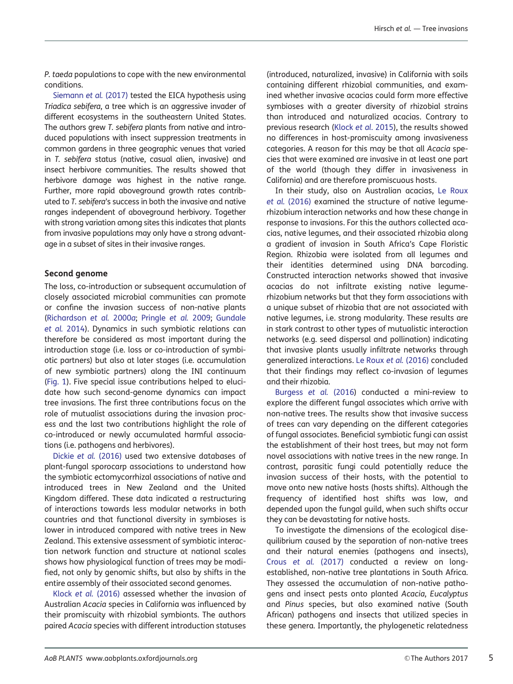P. taeda populations to cope with the new environmental conditions.

[Siemann](#page-7-0) et al. (2017) tested the EICA hypothesis using Triadica sebifera, a tree which is an aggressive invader of different ecosystems in the southeastern United States. The authors arew T. sebifera plants from native and introduced populations with insect suppression treatments in common gardens in three geographic venues that varied in T. sebifera status (native, casual alien, invasive) and insect herbivore communities. The results showed that herbivore damage was highest in the native range. Further, more rapid aboveground growth rates contributed to T. sebifera's success in both the invasive and native ranges independent of aboveground herbivory. Together with strong variation among sites this indicates that plants from invasive populations may only have a strong advantage in a subset of sites in their invasive ranges.

#### Second genome

The loss, co-introduction or subsequent accumulation of closely associated microbial communities can promote or confine the invasion success of non-native plants ([Richardson](#page-7-0) et al. 2000a; [Pringle](#page-7-0) et al. 2009; [Gundale](#page-6-0) [et al.](#page-6-0) 2014). Dynamics in such symbiotic relations can therefore be considered as most important during the introduction stage (i.e. loss or co-introduction of symbiotic partners) but also at later stages (i.e. accumulation of new symbiotic partners) along the INI continuum ([Fig. 1](#page-2-0)). Five special issue contributions helped to elucidate how such second-genome dynamics can impact tree invasions. The first three contributions focus on the role of mutualist associations during the invasion process and the last two contributions highlight the role of co-introduced or newly accumulated harmful associations (i.e. pathogens and herbivores).

Dickie et al. [\(2016\)](#page-6-0) used two extensive databases of plant-fungal sporocarp associations to understand how the symbiotic ectomycorrhizal associations of native and introduced trees in New Zealand and the United Kingdom differed. These data indicated a restructuring of interactions towards less modular networks in both countries and that functional diversity in symbioses is lower in introduced compared with native trees in New Zealand. This extensive assessment of symbiotic interaction network function and structure at national scales shows how physiological function of trees may be modified, not only by genomic shifts, but also by shifts in the entire assembly of their associated second genomes.

Klock et al. [\(2016\)](#page-6-0) assessed whether the invasion of Australian Acacia species in California was influenced by their promiscuity with rhizobial symbionts. The authors paired Acacia species with different introduction statuses

(introduced, naturalized, invasive) in California with soils containing different rhizobial communities, and examined whether invasive acacias could form more effective symbioses with a greater diversity of rhizobial strains than introduced and naturalized acacias. Contrary to previous research (Klock et al[. 2015\)](#page-7-0), the results showed no differences in host-promiscuity among invasiveness categories. A reason for this may be that all Acacia species that were examined are invasive in at least one part of the world (though they differ in invasiveness in California) and are therefore promiscuous hosts.

In their study, also on Australian acacias, [Le Roux](#page-6-0) et al. [\(2016\)](#page-6-0) examined the structure of native legumerhizobium interaction networks and how these change in response to invasions. For this the authors collected acacias, native legumes, and their associated rhizobia along a gradient of invasion in South Africa's Cape Floristic Region. Rhizobia were isolated from all legumes and their identities determined using DNA barcoding. Constructed interaction networks showed that invasive acacias do not infiltrate existing native legumerhizobium networks but that they form associations with a unique subset of rhizobia that are not associated with native legumes, i.e. strong modularity. These results are in stark contrast to other types of mutualistic interaction networks (e.g. seed dispersal and pollination) indicating that invasive plants usually infiltrate networks through generalized interactions. [Le Roux](#page-6-0) et al. (2016) concluded that their findings may reflect co-invasion of legumes and their rhizobia.

[Burgess](#page-6-0) et al. (2016) conducted a mini-review to explore the different fungal associates which arrive with non-native trees. The results show that invasive success of trees can vary depending on the different categories of fungal associates. Beneficial symbiotic fungi can assist the establishment of their host trees, but may not form novel associations with native trees in the new range. In contrast, parasitic fungi could potentially reduce the invasion success of their hosts, with the potential to move onto new native hosts (hosts shifts). Although the frequency of identified host shifts was low, and depended upon the fungal guild, when such shifts occur they can be devastating for native hosts.

To investigate the dimensions of the ecological disequilibrium caused by the separation of non-native trees and their natural enemies (pathogens and insects), Crous et al. [\(2017\)](#page-6-0) conducted a review on longestablished, non-native tree plantations in South Africa. They assessed the accumulation of non-native pathogens and insect pests onto planted Acacia, Eucalyptus and Pinus species, but also examined native (South African) pathogens and insects that utilized species in these genera. Importantly, the phylogenetic relatedness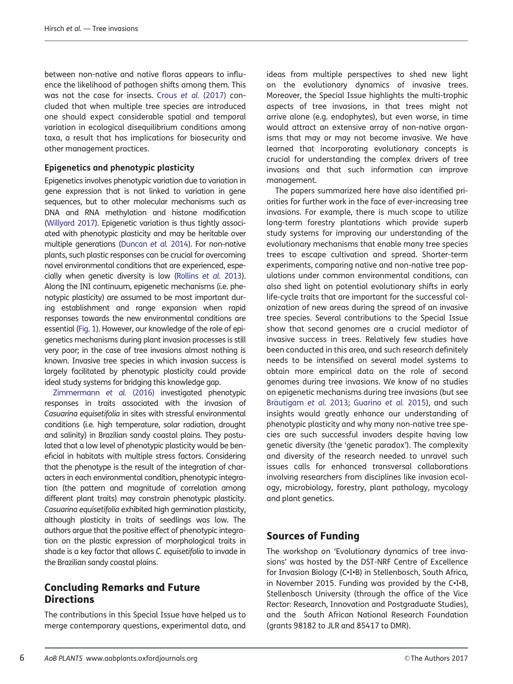between non-native and native floras appears to influence the likelihood of pathogen shifts among them. This was not the case for insects. Crous et al. [\(2017\)](#page-6-0) concluded that when multiple tree species are introduced one should expect considerable spatial and temporal variation in ecological disequilibrium conditions among taxa, a result that has implications for biosecurity and other management practices.

#### Epigenetics and phenotypic plasticity

Epigenetics involves phenotypic variation due to variation in gene expression that is not linked to variation in gene sequences, but to other molecular mechanisms such as DNA and RNA methylation and histone modification [\(Willyard 2017](#page-7-0)). Epigenetic variation is thus tightly associated with phenotypic plasticity and may be heritable over multiple generations ([Duncan](#page-6-0) et al. 2014). For non-native plants, such plastic responses can be crucial for overcoming novel environmental conditions that are experienced, especially when genetic diversity is low [\(Rollins](#page-7-0) et al. 2013). Along the INI continuum, epigenetic mechanisms (i.e. phenotypic plasticity) are assumed to be most important during establishment and range expansion when rapid responses towards the new environmental conditions are essential [\(Fig. 1\)](#page-2-0). However, our knowledge of the role of epigenetics mechanisms during plant invasion processes is still very poor; in the case of tree invasions almost nothing is known. Invasive tree species in which invasion success is largely facilitated by phenotypic plasticity could provide ideal study systems for bridging this knowledge gap.

[Zimmermann](#page-7-0) et al. (2016) investigated phenotypic responses in traits associated with the invasion of Casuarina equisetifolia in sites with stressful environmental conditions (i.e. high temperature, solar radiation, drought and salinity) in Brazilian sandy coastal plains. They postulated that a low level of phenotypic plasticity would be beneficial in habitats with multiple stress factors. Considering that the phenotype is the result of the integration of characters in each environmental condition, phenotypic integration (the pattern and magnitude of correlation among different plant traits) may constrain phenotypic plasticity. Casuarina equisetifolia exhibited high germination plasticity, although plasticity in traits of seedlings was low. The authors argue that the positive effect of phenotypic integration on the plastic expression of morphological traits in shade is a key factor that allows C. equisetifolia to invade in the Brazilian sandy coastal plains.

## Concluding Remarks and Future **Directions**

The contributions in this Special Issue have helped us to merge contemporary questions, experimental data, and ideas from multiple perspectives to shed new light on the evolutionary dynamics of invasive trees. Moreover, the Special Issue highlights the multi-trophic aspects of tree invasions, in that trees might not arrive alone (e.g. endophytes), but even worse, in time would attract an extensive array of non-native organisms that may or may not become invasive. We have learned that incorporating evolutionary concepts is crucial for understanding the complex drivers of tree invasions and that such information can improve management.

The papers summarized here have also identified priorities for further work in the face of ever-increasing tree invasions. For example, there is much scope to utilize long-term forestry plantations which provide superb study systems for improving our understanding of the evolutionary mechanisms that enable many tree species trees to escape cultivation and spread. Shorter-term experiments, comparing native and non-native tree populations under common environmental conditions, can also shed light on potential evolutionary shifts in early life-cycle traits that are important for the successful colonization of new areas during the spread of an invasive tree species. Several contributions to the Special Issue show that second genomes are a crucial mediator of invasive success in trees. Relatively few studies have been conducted in this area, and such research definitely needs to be intensified on several model systems to obtain more empirical data on the role of second genomes during tree invasions. We know of no studies on epigenetic mechanisms during tree invasions (but see Bräutigam et al. 2013; [Guarino](#page-6-0) et al. 2015), and such insights would greatly enhance our understanding of phenotypic plasticity and why many non-native tree species are such successful invaders despite having low genetic diversity (the 'genetic paradox'). The complexity and diversity of the research needed to unravel such issues calls for enhanced transversal collaborations involving researchers from disciplines like invasion ecology, microbiology, forestry, plant pathology, mycology and plant genetics.

## Sources of Funding

The workshop on 'Evolutionary dynamics of tree invasions' was hosted by the DST-NRF Centre of Excellence for Invasion Biology (C•I•B) in Stellenbosch, South Africa, in November 2015. Funding was provided by the C•I•B, Stellenbosch University (through the office of the Vice Rector: Research, Innovation and Postgraduate Studies), and the South African National Research Foundation (grants 98182 to JLR and 85417 to DMR).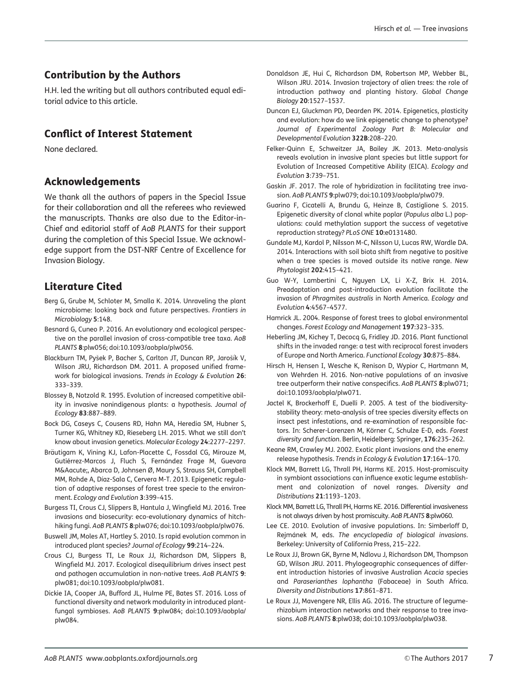## <span id="page-6-0"></span>Contribution by the Authors

H.H. led the writing but all authors contributed equal editorial advice to this article.

## Conflict of Interest Statement

None declared.

## Acknowledgements

We thank all the authors of papers in the Special Issue for their collaboration and all the referees who reviewed the manuscripts. Thanks are also due to the Editor-in-Chief and editorial staff of AoB PLANTS for their support during the completion of this Special Issue. We acknowledge support from the DST-NRF Centre of Excellence for Invasion Biology.

## Literature Cited

- Berg G, Grube M, Schloter M, Smalla K. 2014. Unraveling the plant microbiome: looking back and future perspectives. Frontiers in Microbiology 5:148.
- Besnard G, Cuneo P. 2016. An evolutionary and ecological perspective on the parallel invasion of cross-compatible tree taxa. AoB PLANTS 8:plw056; doi:10.1093/aobpla/plw056.
- Blackburn TM, Pyšek P, Bacher S, Carlton JT, Duncan RP, Jarošík V, Wilson JRU, Richardson DM. 2011. A proposed unified framework for biological invasions. Trends in Ecology & Evolution 26: 333–339.
- Blossey B, Notzold R. 1995. Evolution of increased competitive ability in invasive nonindigenous plants: a hypothesis. Journal of Ecology 83:887–889.
- Bock DG, Caseys C, Cousens RD, Hahn MA, Heredia SM, Hubner S, Turner KG, Whitney KD, Rieseberg LH. 2015. What we still don't know about invasion genetics. Molecular Ecology 24:2277–2297.
- Bräutigam K, Vining KJ, Lafon-Placette C, Fossdal CG, Mirouze M, Gutiérrez-Marcos J, Fluch S, Fernández Frage M, Guevara MÁ, Abarca D, Johnsen Ø, Maury S, Strauss SH, Campbell MM, Rohde A, Díaz-Sala C, Cervera M-T. 2013. Epigenetic regulation of adaptive responses of forest tree specie to the environment. Ecology and Evolution 3:399–415.
- Burgess TI, Crous CJ, Slippers B, Hantula J, Wingfield MJ. 2016. Tree invasions and biosecurity: eco-evolutionary dynamics of hitchhiking fungi. AoB PLANTS 8:plw076; doi:10.1093/aobpla/plw076.
- Buswell JM, Moles AT, Hartley S. 2010. Is rapid evolution common in introduced plant species? Journal of Ecology 99:214–224.
- Crous CJ, Burgess TI, Le Roux JJ, Richardson DM, Slippers B, Wingfield MJ. 2017. Ecological disequilibrium drives insect pest and pathogen accumulation in non-native trees. AoB PLANTS 9: plw081; doi:10.1093/aobpla/plw081.
- Dickie IA, Cooper JA, Bufford JL, Hulme PE, Bates ST. 2016. Loss of functional diversity and network modularity in introduced plantfungal symbioses. AoB PLANTS 9:plw084; doi:10.1093/aobpla/ plw084.
- Donaldson JE, Hui C, Richardson DM, Robertson MP, Webber BL, Wilson JRU. 2014. Invasion trajectory of alien trees: the role of introduction pathway and planting history. Global Change Biology 20:1527–1537.
- Duncan EJ, Gluckman PD, Dearden PK. 2014. Epigenetics, plasticity and evolution: how do we link epigenetic change to phenotype? Journal of Experimental Zoology Part B: Molecular and Developmental Evolution 322B:208–220.
- Felker-Quinn E, Schweitzer JA, Bailey JK. 2013. Meta-analysis reveals evolution in invasive plant species but little support for Evolution of Increased Competitive Ability (EICA). Ecology and Evolution 3:739–751.
- Gaskin JF. 2017. The role of hybridization in facilitating tree invasion. AoB PLANTS 9:plw079; doi:10.1093/aobpla/plw079.
- Guarino F, Cicatelli A, Brundu G, Heinze B, Castiglione S. 2015. Epigenetic diversity of clonal white poplar (Populus alba L.) populations: could methylation support the success of vegetative reproduction strategy? PLoS ONE 10:e0131480.
- Gundale MJ, Kardol P, Nilsson M-C, Nilsson U, Lucas RW, Wardle DA. 2014. Interactions with soil biota shift from negative to positive when a tree species is moved outside its native range. New Phytologist 202:415–421.
- Guo W-Y, Lambertini C, Nguyen LX, Li X-Z, Brix H. 2014. Preadaptation and post-introduction evolution facilitate the invasion of Phragmites australis in North America. Ecology and Evolution 4:4567–4577.
- Hamrick JL. 2004. Response of forest trees to global environmental changes. Forest Ecology and Management 197:323–335.
- Heberling JM, Kichey T, Decocq G, Fridley JD. 2016. Plant functional shifts in the invaded range: a test with reciprocal forest invaders of Europe and North America. Functional Ecology 30:875–884.
- Hirsch H, Hensen I, Wesche K, Renison D, Wypior C, Hartmann M, von Wehrden H. 2016. Non-native populations of an invasive tree outperform their native conspecifics. AoB PLANTS 8:plw071; doi:10.1093/aobpla/plw071.
- Jactel K, Brockerhoff E, Duelli P. 2005. A test of the biodiversitystability theory: meta-analysis of tree species diversity effects on insect pest infestations, and re-examination of responsible factors. In: Scherer-Lorenzen M, Körner C, Schulze E-D, eds. Forest diversity and function. Berlin, Heidelberg: Springer, 176:235–262.
- Keane RM, Crawley MJ. 2002. Exotic plant invasions and the enemy release hypothesis. Trends in Ecology & Evolution 17:164–170.
- Klock MM, Barrett LG, Thrall PH, Harms KE. 2015. Host-promiscuity in symbiont associations can influence exotic legume establishment and colonization of novel ranges. Diversity and Distributions 21:1193–1203.
- Klock MM, Barrett LG, Thrall PH, Harms KE. 2016. Differential invasiveness is not always driven by host promiscuity. AoB PLANTS 8:plw060.
- Lee CE. 2010. Evolution of invasive populations. In: Simberloff D, Rejmánek M, eds. The encyclopedia of biological invasions. Berkeley: University of California Press, 215–222.
- Le Roux JJ, Brown GK, Byrne M, Ndlovu J, Richardson DM, Thompson GD, Wilson JRU. 2011. Phylogeographic consequences of different introduction histories of invasive Australian Acacia species and Paraserianthes lophantha (Fabaceae) in South Africa. Diversity and Distributions 17:861–871.
- Le Roux JJ, Mavengere NR, Ellis AG. 2016. The structure of legumerhizobium interaction networks and their response to tree invasions. AoB PLANTS 8:plw038; doi:10.1093/aobpla/plw038.